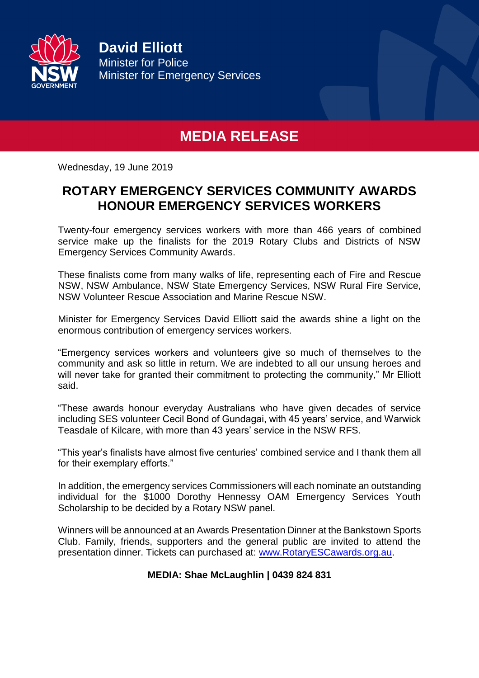

**David Elliott** Minister for Police Minister for Emergency Services

## **MEDIA RELEASE**

Wednesday, 19 June 2019

## **ROTARY EMERGENCY SERVICES COMMUNITY AWARDS HONOUR EMERGENCY SERVICES WORKERS**

Twenty-four emergency services workers with more than 466 years of combined service make up the finalists for the 2019 Rotary Clubs and Districts of NSW Emergency Services Community Awards.

These finalists come from many walks of life, representing each of Fire and Rescue NSW, NSW Ambulance, NSW State Emergency Services, NSW Rural Fire Service, NSW Volunteer Rescue Association and Marine Rescue NSW.

Minister for Emergency Services David Elliott said the awards shine a light on the enormous contribution of emergency services workers.

"Emergency services workers and volunteers give so much of themselves to the community and ask so little in return. We are indebted to all our unsung heroes and will never take for granted their commitment to protecting the community," Mr Elliott said.

"These awards honour everyday Australians who have given decades of service including SES volunteer Cecil Bond of Gundagai, with 45 years' service, and Warwick Teasdale of Kilcare, with more than 43 years' service in the NSW RFS.

"This year's finalists have almost five centuries' combined service and I thank them all for their exemplary efforts."

In addition, the emergency services Commissioners will each nominate an outstanding individual for the \$1000 Dorothy Hennessy OAM Emergency Services Youth Scholarship to be decided by a Rotary NSW panel.

Winners will be announced at an Awards Presentation Dinner at the Bankstown Sports Club. Family, friends, supporters and the general public are invited to attend the presentation dinner. Tickets can purchased at: [www.RotaryESCawards.org.au.](http://www.rotaryescawards.org.au/)

## **MEDIA: Shae McLaughlin | 0439 824 831**